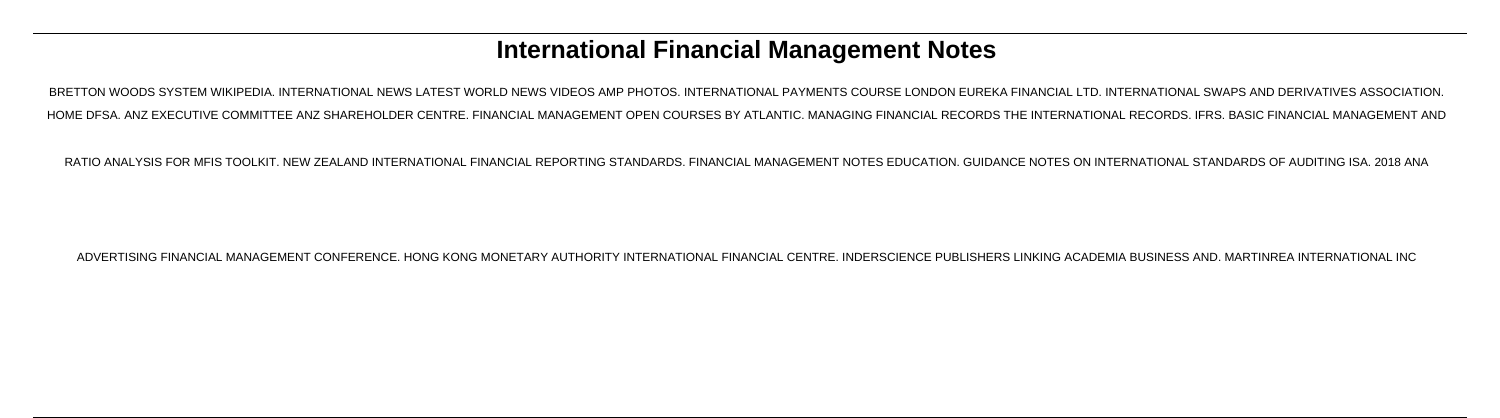# **International Financial Management Notes**

BRETTON WOODS SYSTEM WIKIPEDIA. INTERNATIONAL NEWS LATEST WORLD NEWS VIDEOS AMP PHOTOS. INTERNATIONAL PAYMENTS COURSE LONDON EUREKA FINANCIAL LTD. INTERNATIONAL SWAPS AND DERIVATIVES ASSOCIATION. HOME DFSA. ANZ EXECUTIVE COMMITTEE ANZ SHAREHOLDER CENTRE. FINANCIAL MANAGEMENT OPEN COURSES BY ATLANTIC. MANAGING FINANCIAL RECORDS THE INTERNATIONAL RECORDS. IFRS. BASIC FINANCIAL MANAGEMENT AND

RATIO ANALYSIS FOR MFIS TOOLKIT. NEW ZEALAND INTERNATIONAL FINANCIAL REPORTING STANDARDS. FINANCIAL MANAGEMENT NOTES EDUCATION. GUIDANCE NOTES ON INTERNATIONAL STANDARDS OF AUDITING ISA. 2018 ANA

ADVERTISING FINANCIAL MANAGEMENT CONFERENCE. HONG KONG MONETARY AUTHORITY INTERNATIONAL FINANCIAL CENTRE. INDERSCIENCE PUBLISHERS LINKING ACADEMIA BUSINESS AND. MARTINREA INTERNATIONAL INC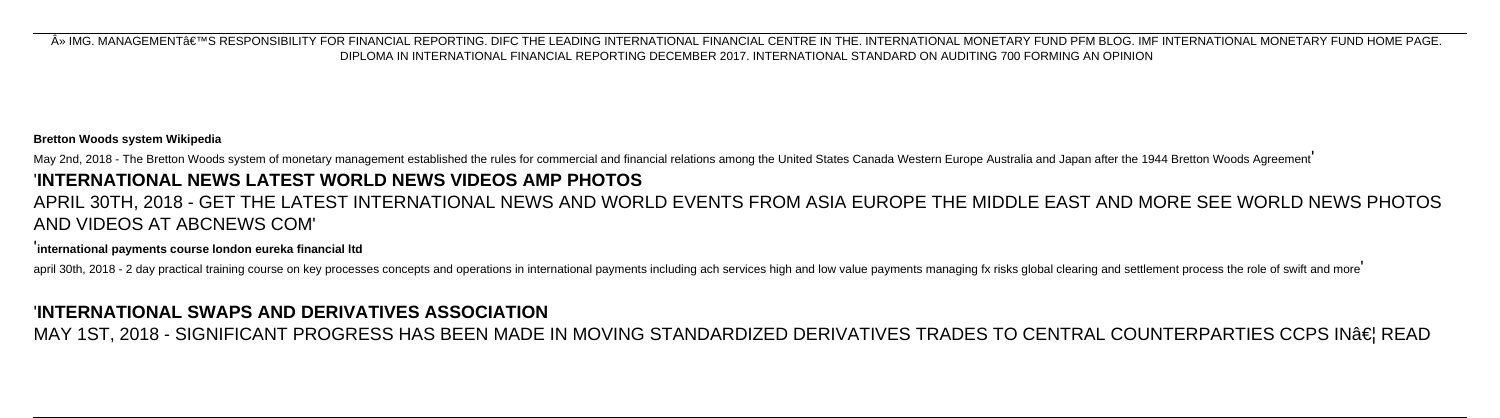» IMG. MANAGEMENT'S RESPONSIBILITY FOR FINANCIAL REPORTING. DIFC THE LEADING INTERNATIONAL FINANCIAL CENTRE IN THE. INTERNATIONAL MONETARY FUND PFM BLOG. IMF INTERNATIONAL MONETARY FUND HOME PAGE. DIPLOMA IN INTERNATIONAL FINANCIAL REPORTING DECEMBER 2017. INTERNATIONAL STANDARD ON AUDITING 700 FORMING AN OPINION

### **Bretton Woods system Wikipedia**

May 2nd, 2018 - The Bretton Woods system of monetary management established the rules for commercial and financial relations among the United States Canada Western Europe Australia and Japan after the 1944 Bretton Woods Ag

# '**INTERNATIONAL NEWS LATEST WORLD NEWS VIDEOS AMP PHOTOS**

# APRIL 30TH, 2018 - GET THE LATEST INTERNATIONAL NEWS AND WORLD EVENTS FROM ASIA EUROPE THE MIDDLE EAST AND MORE SEE WORLD NEWS PHOTOS AND VIDEOS AT ABCNEWS COM'

### '**international payments course london eureka financial ltd**

april 30th, 2018 - 2 day practical training course on key processes concepts and operations in international payments including ach services high and low value payments managing fx risks global clearing and settlement proc

### '**INTERNATIONAL SWAPS AND DERIVATIVES ASSOCIATION**

MAY 1ST, 2018 - SIGNIFICANT PROGRESS HAS BEEN MADE IN MOVING STANDARDIZED DERIVATIVES TRADES TO CENTRAL COUNTERPARTIES CCPS IN… READ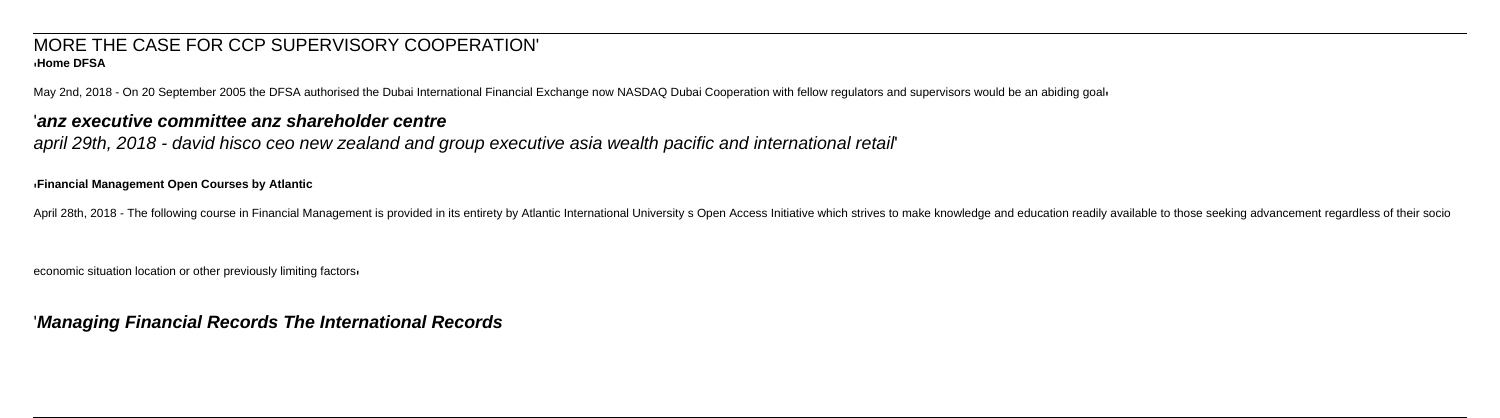### MORE THE CASE FOR CCP SUPERVISORY COOPERATION' '**Home DFSA**

May 2nd, 2018 - On 20 September 2005 the DFSA authorised the Dubai International Financial Exchange now NASDAQ Dubai Cooperation with fellow regulators and supervisors would be an abiding goally

### '**anz executive committee anz shareholder centre**

april 29th, 2018 - david hisco ceo new zealand and group executive asia wealth pacific and international retail'

### '**Financial Management Open Courses by Atlantic**

April 28th, 2018 - The following course in Financial Management is provided in its entirety by Atlantic International University s Open Access Initiative which strives to make knowledge and education readily available to t

economic situation location or other previously limiting factors'

### '**Managing Financial Records The International Records**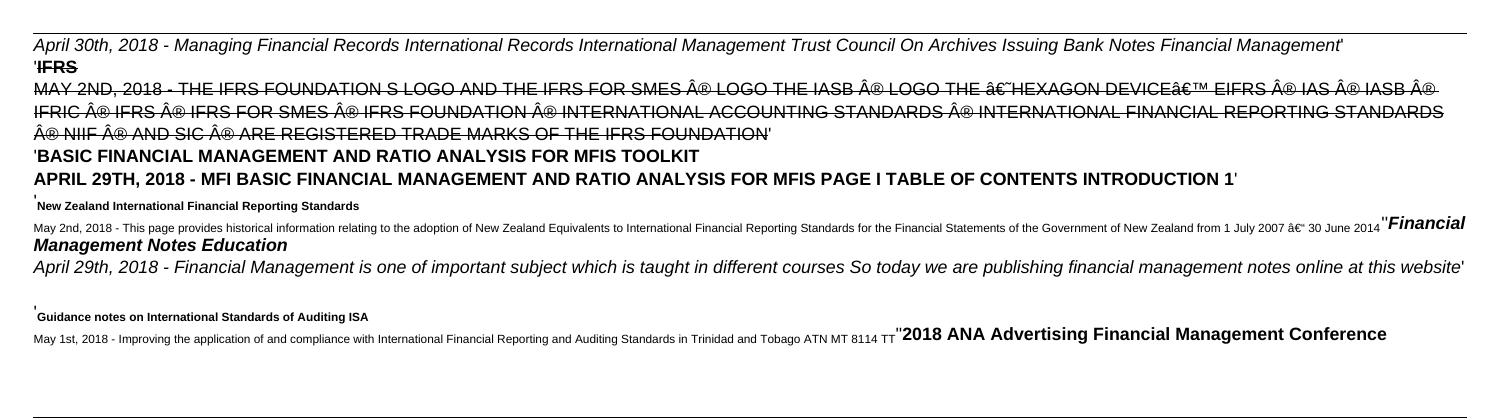# April 30th, 2018 - Managing Financial Records International Records International Management Trust Council On Archives Issuing Bank Notes Financial Management' '**IFRS**

MAY 2ND, 2018 - THE IFRS FOUNDATION S LOGO AND THE IFRS FOR SMES ® LOGO THE IASB ® LOGO THE  $\hat{a}\epsilon$  the xagon device $\hat{a}\epsilon^\text{\tiny TM}$  eifrs ® IAS ® IASB ® IFRIC ® IFRS ® IFRS FOR SMES ® IFRS FOUNDATION ® INTERNATIONAL ACCOUNTING STANDARDS ® INTERNATIONAL FINANCIAL REPORTING STANDARDS A® NIIF A® AND SIC A® ARE REGISTERED TRADE MARKS OF THE IERS FOUNDATION' '**BASIC FINANCIAL MANAGEMENT AND RATIO ANALYSIS FOR MFIS TOOLKIT APRIL 29TH, 2018 - MFI BASIC FINANCIAL MANAGEMENT AND RATIO ANALYSIS FOR MFIS PAGE I TABLE OF CONTENTS INTRODUCTION 1**'

May 2nd, 2018 - This page provides historical information relating to the adoption of New Zealand Equivalents to International Financial Reporting Standards for the Financial Statements of the Government of New Zealand fr **Management Notes Education**

### '**New Zealand International Financial Reporting Standards**

April 29th, 2018 - Financial Management is one of important subject which is taught in different courses So today we are publishing financial management notes online at this website'

### '**Guidance notes on International Standards of Auditing ISA**

May 1st, 2018 - Improving the application of and compliance with International Financial Reporting and Auditing Standards in Trinidad and Tobago ATN MT 8114 TT<sup>"</sup> 2018 ANA Advertising Financial Management Conference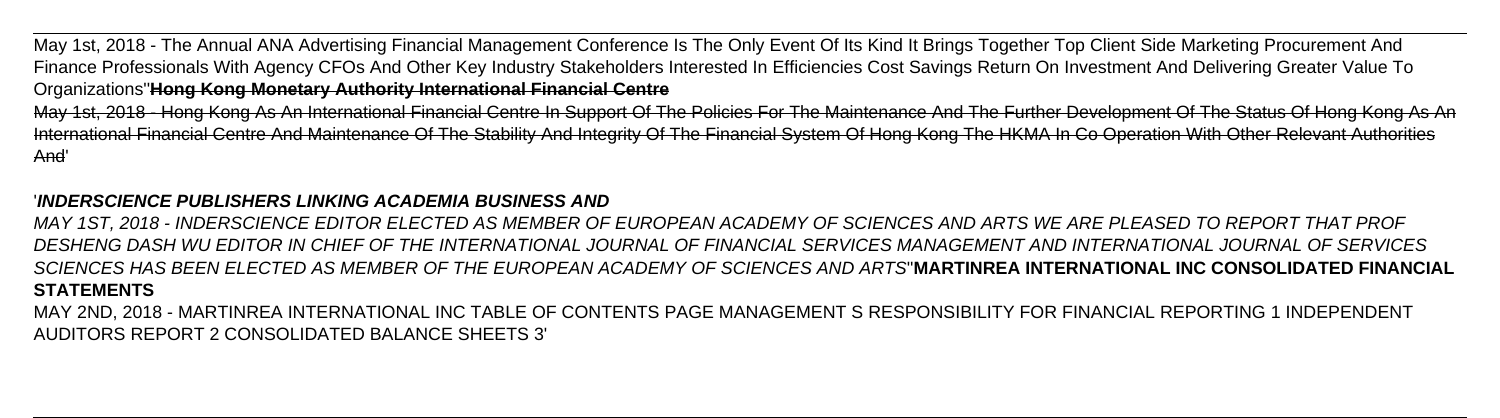May 1st, 2018 - The Annual ANA Advertising Financial Management Conference Is The Only Event Of Its Kind It Brings Together Top Client Side Marketing Procurement And Finance Professionals With Agency CFOs And Other Key Industry Stakeholders Interested In Efficiencies Cost Savings Return On Investment And Delivering Greater Value To Organizations''**Hong Kong Monetary Authority International Financial Centre** May 1st, 2018 - Hong Kong As An International Financial Centre In Support Of The Policies For The Maintenance And The Further Development Of The Status Of Hong Kong As An International Financial Centre And Maintenance Of The Stability And Integrity Of The Financial System Of Hong Kong The HKMA In Co Operation With Other Relevant Authorities And'

## '**INDERSCIENCE PUBLISHERS LINKING ACADEMIA BUSINESS AND**

MAY 1ST, 2018 - INDERSCIENCE EDITOR ELECTED AS MEMBER OF EUROPEAN ACADEMY OF SCIENCES AND ARTS WE ARE PLEASED TO REPORT THAT PROF DESHENG DASH WU EDITOR IN CHIEF OF THE INTERNATIONAL JOURNAL OF FINANCIAL SERVICES MANAGEMENT AND INTERNATIONAL JOURNAL OF SERVICES SCIENCES HAS BEEN ELECTED AS MEMBER OF THE EUROPEAN ACADEMY OF SCIENCES AND ARTS''**MARTINREA INTERNATIONAL INC CONSOLIDATED FINANCIAL STATEMENTS**

MAY 2ND, 2018 - MARTINREA INTERNATIONAL INC TABLE OF CONTENTS PAGE MANAGEMENT S RESPONSIBILITY FOR FINANCIAL REPORTING 1 INDEPENDENT AUDITORS REPORT 2 CONSOLIDATED BALANCE SHEETS 3'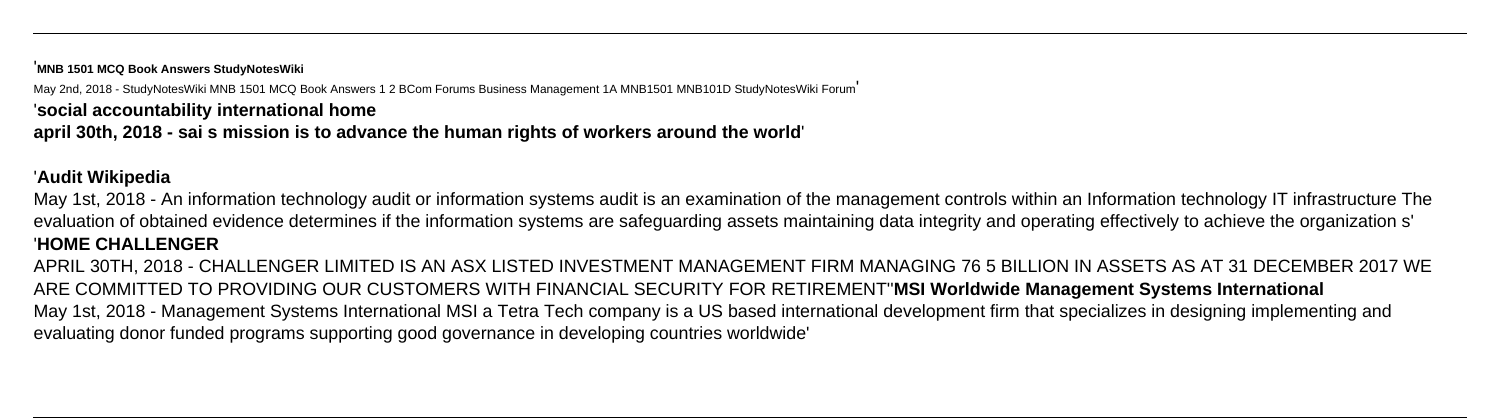### '**MNB 1501 MCQ Book Answers StudyNotesWiki**

May 2nd, 2018 - StudyNotesWiki MNB 1501 MCQ Book Answers 1 2 BCom Forums Business Management 1A MNB1501 MNB101D StudyNotesWiki Forum'

'**social accountability international home**

**april 30th, 2018 - sai s mission is to advance the human rights of workers around the world**'

# '**Audit Wikipedia**

May 1st, 2018 - An information technology audit or information systems audit is an examination of the management controls within an Information technology IT infrastructure The evaluation of obtained evidence determines if the information systems are safeguarding assets maintaining data integrity and operating effectively to achieve the organization s' '**HOME CHALLENGER**

APRIL 30TH, 2018 - CHALLENGER LIMITED IS AN ASX LISTED INVESTMENT MANAGEMENT FIRM MANAGING 76 5 BILLION IN ASSETS AS AT 31 DECEMBER 2017 WE ARE COMMITTED TO PROVIDING OUR CUSTOMERS WITH FINANCIAL SECURITY FOR RETIREMENT''**MSI Worldwide Management Systems International** May 1st, 2018 - Management Systems International MSI a Tetra Tech company is a US based international development firm that specializes in designing implementing and evaluating donor funded programs supporting good governance in developing countries worldwide'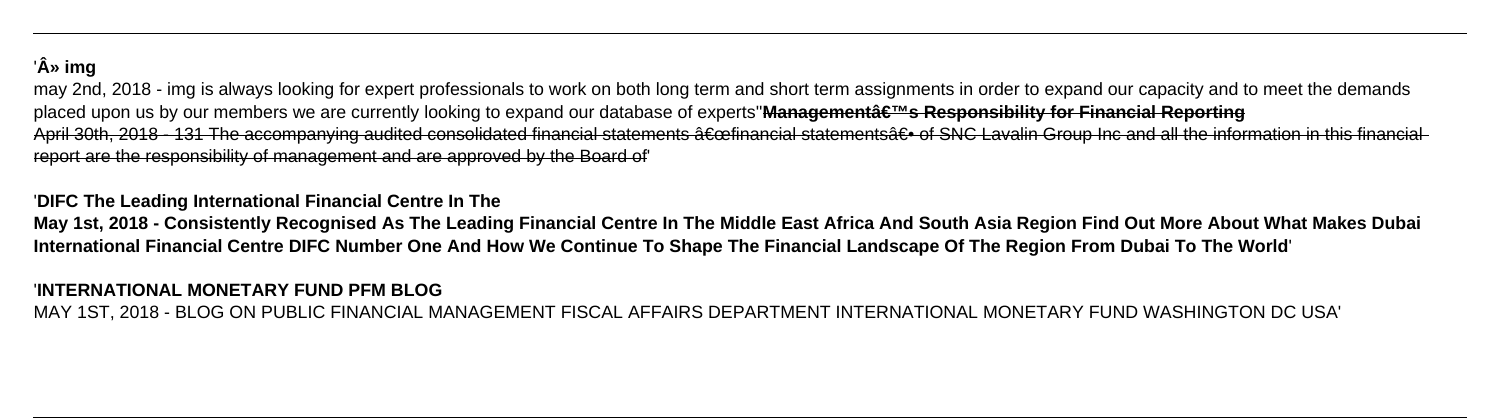# '» img

may 2nd, 2018 - img is always looking for expert professionals to work on both long term and short term assignments in order to expand our capacity and to meet the demands placed upon us by our members we are currently looking to expand our database of experts"**Management's Responsibility for Financial Reporting** April 30th, 2018 - 131 The accompanying audited consolidated financial statements a Ecofinancial statements a Execusive Group Inc and all the information in this financial report are the responsibility of management and are approved by the Board of'

### '**DIFC The Leading International Financial Centre In The**

**May 1st, 2018 - Consistently Recognised As The Leading Financial Centre In The Middle East Africa And South Asia Region Find Out More About What Makes Dubai International Financial Centre DIFC Number One And How We Continue To Shape The Financial Landscape Of The Region From Dubai To The World**'

### '**INTERNATIONAL MONETARY FUND PFM BLOG**

MAY 1ST, 2018 - BLOG ON PUBLIC FINANCIAL MANAGEMENT FISCAL AFFAIRS DEPARTMENT INTERNATIONAL MONETARY FUND WASHINGTON DC USA'